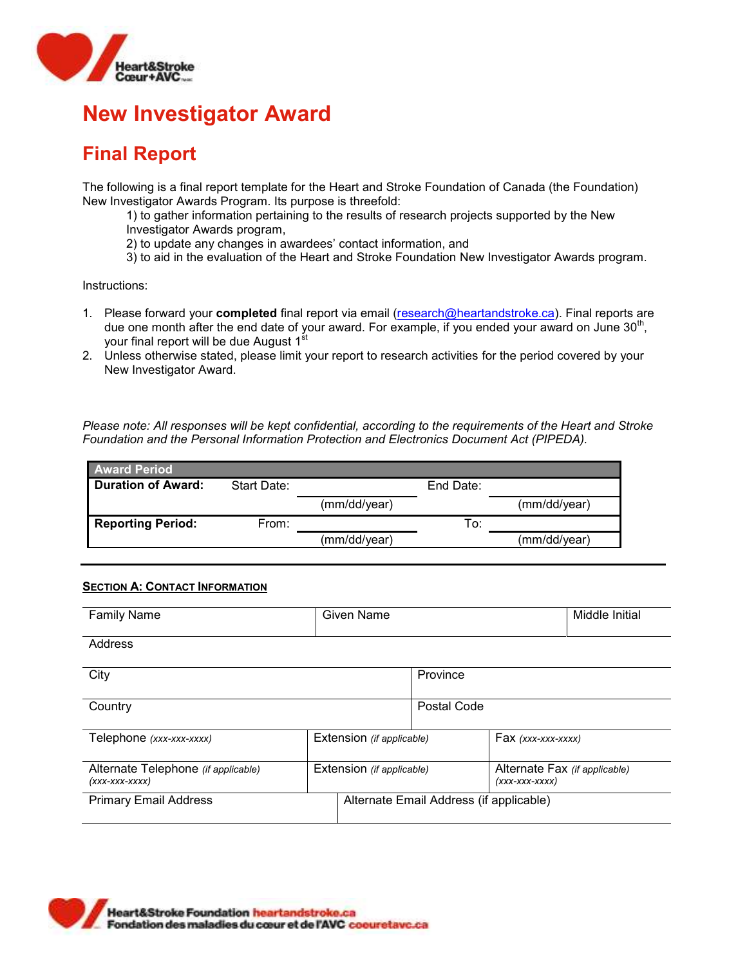

### **Final Report**

The following is a final report template for the Heart and Stroke Foundation of Canada (the Foundation) New Investigator Awards Program. Its purpose is threefold:

1) to gather information pertaining to the results of research projects supported by the New Investigator Awards program,

2) to update any changes in awardees' contact information, and

3) to aid in the evaluation of the Heart and Stroke Foundation New Investigator Awards program.

Instructions:

- 1. Please forward your **completed** final report via email [\(research@heartandstroke.ca\)](mailto:research@heartandstroke.ca). Final reports are due one month after the end date of your award. For example, if you ended your award on June 30<sup>th</sup>, your final report will be due August 1<sup>št</sup>
- 2. Unless otherwise stated, please limit your report to research activities for the period covered by your New Investigator Award.

*Please note: All responses will be kept confidential, according to the requirements of the Heart and Stroke Foundation and the Personal Information Protection and Electronics Document Act (PIPEDA).*

| <b>Award Period</b>       |             |              |           |              |
|---------------------------|-------------|--------------|-----------|--------------|
| <b>Duration of Award:</b> | Start Date: |              | End Date: |              |
|                           |             | (mm/dd/year) |           | (mm/dd/year) |
| <b>Reporting Period:</b>  | From:       |              | To:       |              |
|                           |             | (mm/dd/year) |           | (mm/dd/vear) |

### **SECTION A: CONTACT INFORMATION**

| <b>Family Name</b>                                       |                           | Given Name |                                         |                                                    | Middle Initial |
|----------------------------------------------------------|---------------------------|------------|-----------------------------------------|----------------------------------------------------|----------------|
| Address                                                  |                           |            |                                         |                                                    |                |
| City                                                     |                           |            | Province                                |                                                    |                |
| Country                                                  |                           |            | Postal Code                             |                                                    |                |
| Telephone (xxx-xxx-xxxx)                                 | Extension (if applicable) |            |                                         | $Fax$ (xxx-xxx-xxxx)                               |                |
| Alternate Telephone (if applicable)<br>$(xxx$ -xxx-xxxx) | Extension (if applicable) |            |                                         | Alternate Fax (if applicable)<br>$(xxx$ -xxx-xxxx) |                |
| <b>Primary Email Address</b>                             |                           |            | Alternate Email Address (if applicable) |                                                    |                |

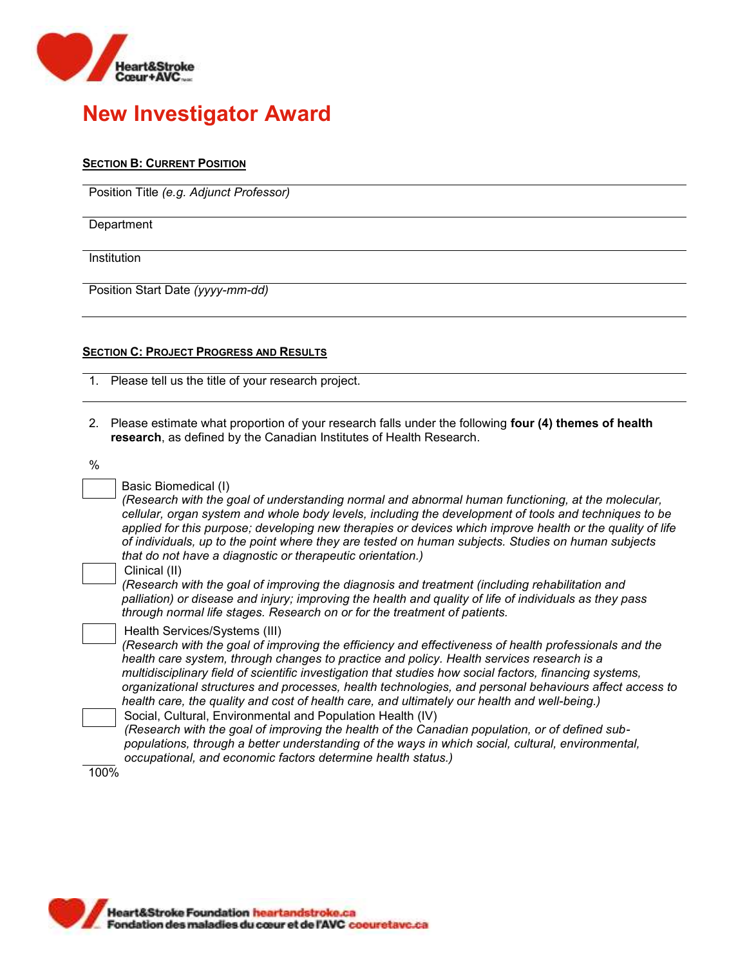

### **SECTION B: CURRENT POSITION**

Position Title *(e.g. Adjunct Professor)*

**Department** 

Institution

Position Start Date *(yyyy-mm-dd)*

### **SECTION C: PROJECT PROGRESS AND RESULTS**

- 1. Please tell us the title of your research project.
- 2. Please estimate what proportion of your research falls under the following **four (4) themes of health research**, as defined by the Canadian Institutes of Health Research.

| ۰, | I<br>. .          |
|----|-------------------|
| ×  | I<br>×<br>×<br>۰, |

|  | Basic Biomedical (I) |  |
|--|----------------------|--|
|  |                      |  |

*(Research with the goal of understanding normal and abnormal human functioning, at the molecular, cellular, organ system and whole body levels, including the development of tools and techniques to be applied for this purpose; developing new therapies or devices which improve health or the quality of life of individuals, up to the point where they are tested on human subjects. Studies on human subjects that do not have a diagnostic or therapeutic orientation.)*

#### Clinical (II)

*(Research with the goal of improving the diagnosis and treatment (including rehabilitation and palliation) or disease and injury; improving the health and quality of life of individuals as they pass through normal life stages. Research on or for the treatment of patients.*

| Health Services/Systems (III) |  |
|-------------------------------|--|
|                               |  |

*(Research with the goal of improving the efficiency and effectiveness of health professionals and the health care system, through changes to practice and policy. Health services research is a multidisciplinary field of scientific investigation that studies how social factors, financing systems, organizational structures and processes, health technologies, and personal behaviours affect access to health care, the quality and cost of health care, and ultimately our health and well-being.)*

Social, Cultural, Environmental and Population Health (IV) *(Research with the goal of improving the health of the Canadian population, or of defined subpopulations, through a better understanding of the ways in which social, cultural, environmental, occupational, and economic factors determine health status.)*

100%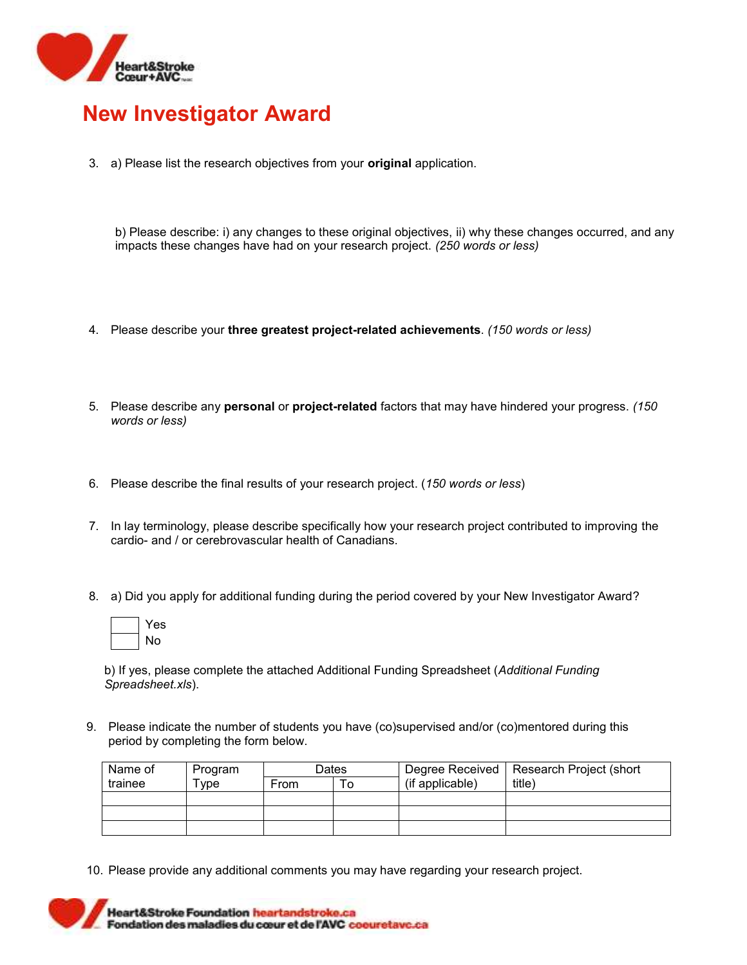

3. a) Please list the research objectives from your **original** application.

b) Please describe: i) any changes to these original objectives, ii) why these changes occurred, and any impacts these changes have had on your research project. *(250 words or less)*

- 4. Please describe your **three greatest project-related achievements**. *(150 words or less)*
- 5. Please describe any **personal** or **project-related** factors that may have hindered your progress. *(150 words or less)*
- 6. Please describe the final results of your research project. (*150 words or less*)
- 7. In lay terminology, please describe specifically how your research project contributed to improving the cardio- and / or cerebrovascular health of Canadians.
- 8. a) Did you apply for additional funding during the period covered by your New Investigator Award?



b) If yes, please complete the attached Additional Funding Spreadsheet (*Additional Funding Spreadsheet.xls*).

9. Please indicate the number of students you have (co)supervised and/or (co)mentored during this period by completing the form below.

| Name of | Program | Dates |   |                 | Degree Received   Research Project (short |
|---------|---------|-------|---|-----------------|-------------------------------------------|
| trainee | "ype    | From  | C | (if applicable) | title)                                    |
|         |         |       |   |                 |                                           |
|         |         |       |   |                 |                                           |
|         |         |       |   |                 |                                           |

10. Please provide any additional comments you may have regarding your research project.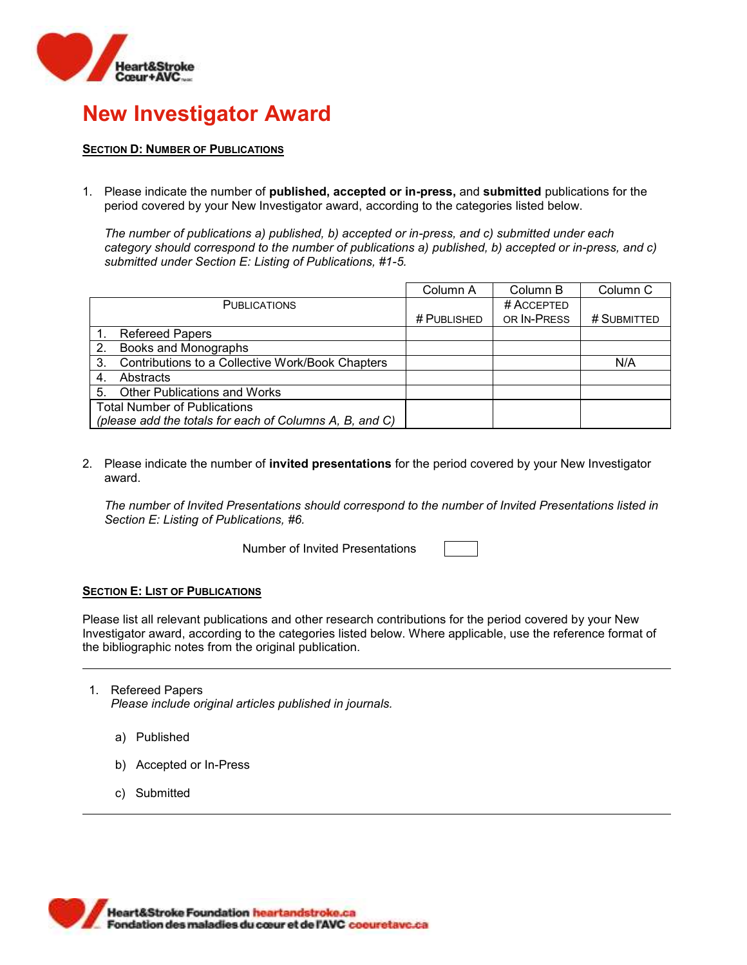

### **SECTION D: NUMBER OF PUBLICATIONS**

1. Please indicate the number of **published, accepted or in-press,** and **submitted** publications for the period covered by your New Investigator award, according to the categories listed below.

*The number of publications a) published, b) accepted or in-press, and c) submitted under each category should correspond to the number of publications a) published, b) accepted or in-press, and c) submitted under Section E: Listing of Publications, #1-5.*

|    |                                                         | Column A    | Column B    | Column <sub>C</sub> |
|----|---------------------------------------------------------|-------------|-------------|---------------------|
|    | <b>PUBLICATIONS</b>                                     |             | # ACCEPTED  |                     |
|    |                                                         | # PUBLISHED | OR IN-PRESS | # SUBMITTED         |
|    | <b>Refereed Papers</b>                                  |             |             |                     |
| 2. | Books and Monographs                                    |             |             |                     |
| 3. | Contributions to a Collective Work/Book Chapters        |             |             | N/A                 |
| 4. | Abstracts                                               |             |             |                     |
| 5. | <b>Other Publications and Works</b>                     |             |             |                     |
|    | <b>Total Number of Publications</b>                     |             |             |                     |
|    | (please add the totals for each of Columns A, B, and C) |             |             |                     |

2. Please indicate the number of **invited presentations** for the period covered by your New Investigator award.

*The number of Invited Presentations should correspond to the number of Invited Presentations listed in Section E: Listing of Publications, #6.* 

Number of Invited Presentations

### **SECTION E: LIST OF PUBLICATIONS**

Please list all relevant publications and other research contributions for the period covered by your New Investigator award, according to the categories listed below. Where applicable, use the reference format of the bibliographic notes from the original publication.

- 1. Refereed Papers *Please include original articles published in journals.*
	- a) Published
	- b) Accepted or In-Press
	- c) Submitted

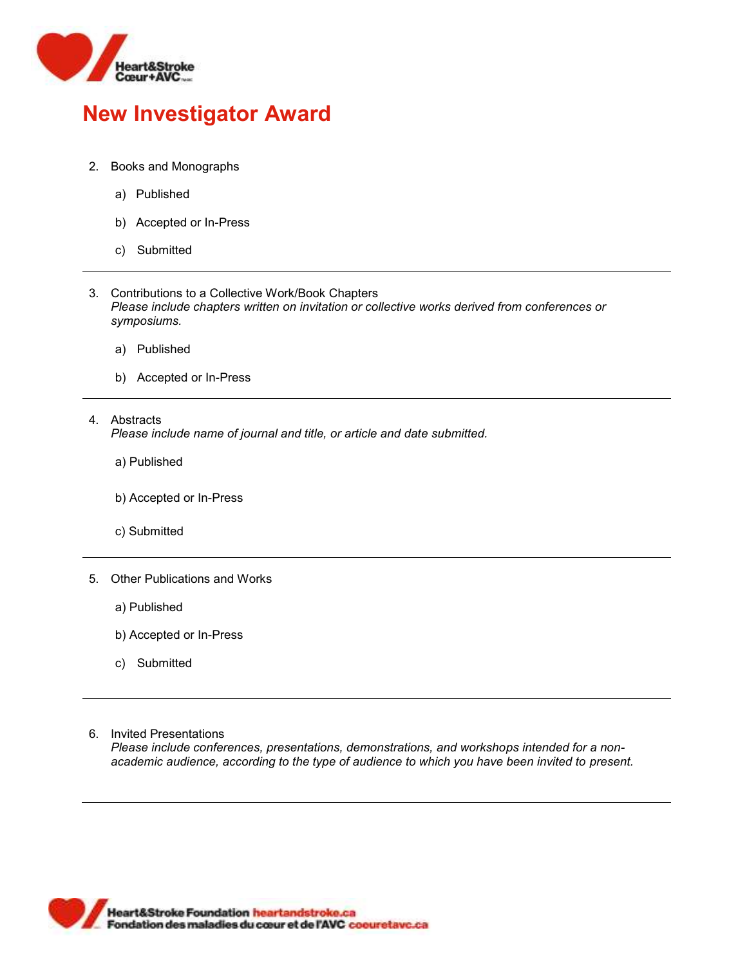

- 2. Books and Monographs
	- a) Published
	- b) Accepted or In-Press
	- c) Submitted
- 3. Contributions to a Collective Work/Book Chapters *Please include chapters written on invitation or collective works derived from conferences or symposiums.*
	- a) Published
	- b) Accepted or In-Press
- 4. Abstracts *Please include name of journal and title, or article and date submitted.*
	- a) Published
	- b) Accepted or In-Press
	- c) Submitted
- 5. Other Publications and Works
	- a) Published
	- b) Accepted or In-Press
	- c) Submitted
- 6. Invited Presentations

*Please include conferences, presentations, demonstrations, and workshops intended for a nonacademic audience, according to the type of audience to which you have been invited to present.*

**Heart&Stroke Foundation heartandstroke.ca** Fondation des maladies du cœur et de l'AVC coeuretave.ca